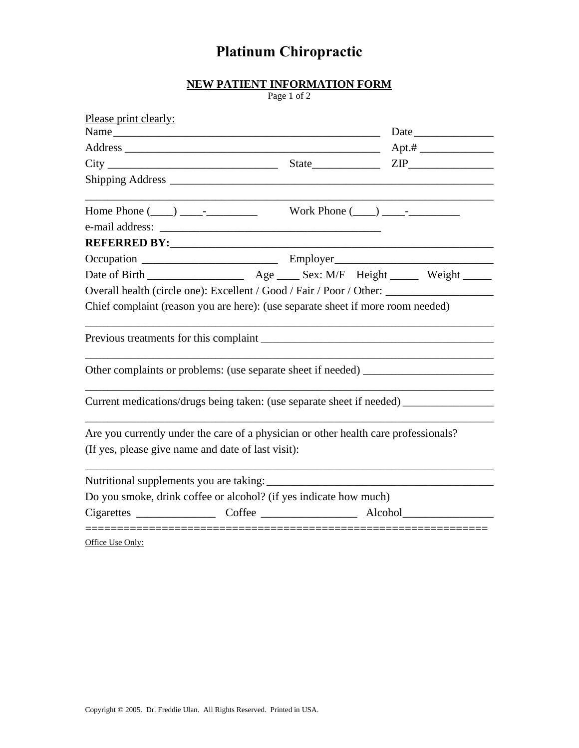## **Platinum Chiropractic**

## **NEW PATIENT INFORMATION FORM**

Page 1 of 2

|                                                                                                                                                                                                                                | Please print clearly:<br>Name |  |  |  |  |
|--------------------------------------------------------------------------------------------------------------------------------------------------------------------------------------------------------------------------------|-------------------------------|--|--|--|--|
|                                                                                                                                                                                                                                |                               |  |  |  |  |
|                                                                                                                                                                                                                                |                               |  |  |  |  |
|                                                                                                                                                                                                                                |                               |  |  |  |  |
|                                                                                                                                                                                                                                |                               |  |  |  |  |
|                                                                                                                                                                                                                                |                               |  |  |  |  |
| REFERRED BY: North State State State State State State State State State State State State State State State State State State State State State State State State State State State State State State State State State State |                               |  |  |  |  |
|                                                                                                                                                                                                                                |                               |  |  |  |  |
|                                                                                                                                                                                                                                |                               |  |  |  |  |
| Overall health (circle one): Excellent / Good / Fair / Poor / Other: ____________                                                                                                                                              |                               |  |  |  |  |
| Chief complaint (reason you are here): (use separate sheet if more room needed)                                                                                                                                                |                               |  |  |  |  |
|                                                                                                                                                                                                                                |                               |  |  |  |  |
|                                                                                                                                                                                                                                |                               |  |  |  |  |
| Current medications/drugs being taken: (use separate sheet if needed) ___________                                                                                                                                              |                               |  |  |  |  |
| Are you currently under the care of a physician or other health care professionals?                                                                                                                                            |                               |  |  |  |  |
| (If yes, please give name and date of last visit):                                                                                                                                                                             |                               |  |  |  |  |
|                                                                                                                                                                                                                                |                               |  |  |  |  |
| Do you smoke, drink coffee or alcohol? (if yes indicate how much)                                                                                                                                                              |                               |  |  |  |  |